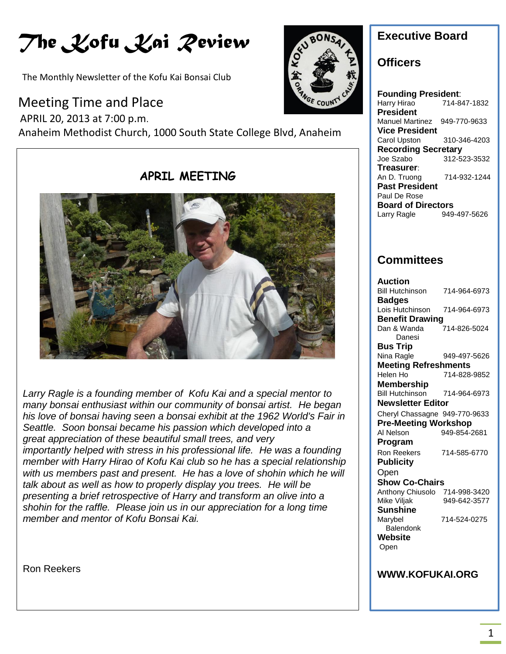# *The Kofu Kai Review*

The Monthly Newsletter of the Kofu Kai Bonsai Club

### Meeting Time and Place

 APRIL 20, 2013 at 7:00 p.m. Anaheim Methodist Church, 1000 South State College Blvd, Anaheim



### **Executive Board**

### **Officers**

**Founding President**: Harry Hirao 714-847-1832 **President** Manuel Martinez 949-770-9633 **Vice President** Carol Upston 310-346-4203 **Recording Secretary** Joe Szabo 312-523-3532 **Treasurer**: An D. Truong 714-932-1244 **Past President** Paul De Rose **Board of Directors**<br>Larry Ragle 949-497-5626 Larry Ragle

### **Committees**

| Auction                       |              |
|-------------------------------|--------------|
| <b>Bill Hutchinson</b>        | 714-964-6973 |
| <b>Badges</b>                 |              |
| Lois Hutchinson               | 714-964-6973 |
| <b>Benefit Drawing</b>        |              |
| Dan & Wanda                   | 714-826-5024 |
| Danesi                        |              |
| Bus Trip                      |              |
| Nina Ragle                    | 949-497-5626 |
| <b>Meeting Refreshments</b>   |              |
| Helen Ho                      | 714-828-9852 |
| <b>Membership</b>             |              |
| <b>Bill Hutchinson</b>        | 714-964-6973 |
| <b>Newsletter Editor</b>      |              |
| Cheryl Chassagne 949-770-9633 |              |
| <b>Pre-Meeting Workshop</b>   |              |
| Al Nelson                     | 949-854-2681 |
| Program                       |              |
| <b>Ron Reekers</b>            | 714-585-6770 |
| <b>Publicity</b>              |              |
| Open                          |              |
| <b>Show Co-Chairs</b>         |              |
| Anthony Chiusolo 714-998-3420 |              |
| Mike Viljak                   | 949-642-3577 |
| Sunshine                      |              |
| Marybel                       | 714-524-0275 |
| Balendonk                     |              |
| Website                       |              |
| Open                          |              |
|                               |              |
|                               |              |
| <b>WWW.KOFUKAI.ORG</b>        |              |

**APRIL MEETING**



*Larry Ragle is a founding member of Kofu Kai and a special mentor to many bonsai enthusiast within our community of bonsai artist. He began his love of bonsai having seen a bonsai exhibit at the 1962 World's Fair in Seattle. Soon bonsai became his passion which developed into a great appreciation of these beautiful small trees, and very importantly helped with stress in his professional life. He was a founding member with Harry Hirao of Kofu Kai club so he has a special relationship with us members past and present. He has a love of shohin which he will talk about as well as how to properly display you trees. He will be presenting a brief retrospective of Harry and transform an olive into a shohin for the raffle. Please join us in our appreciation for a long time member and mentor of Kofu Bonsai Kai.*

Ron Reekers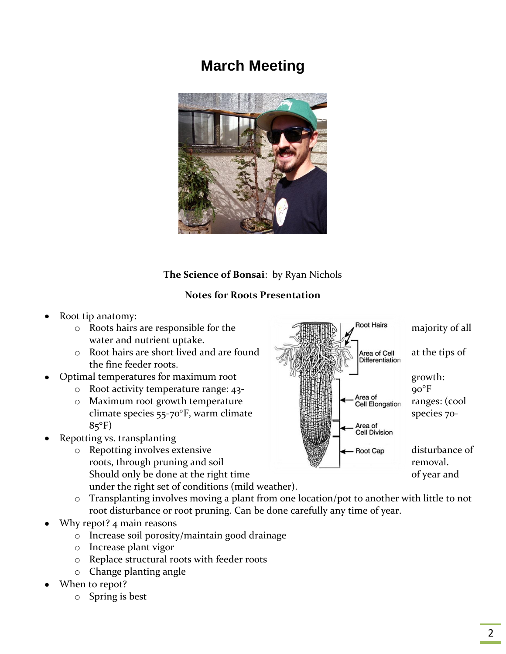# **March Meeting**



### **The Science of Bonsai**: by Ryan Nichols

### **Notes for Roots Presentation**

- Root tip anatomy:
	- water and nutrient uptake.
	- the fine feeder roots.
- -
	- $85^{\circ}F$ )
- Repotting vs. transplanting
	- Should only be done at the right time of year and under the right set of conditions (mild weather).



- o Transplanting involves moving a plant from one location/pot to another with little to not root disturbance or root pruning. Can be done carefully any time of year.
- Why repot? 4 main reasons
	- o Increase soil porosity/maintain good drainage
	- o Increase plant vigor
	- o Replace structural roots with feeder roots
	- o Change planting angle
- When to repot?
	- o Spring is best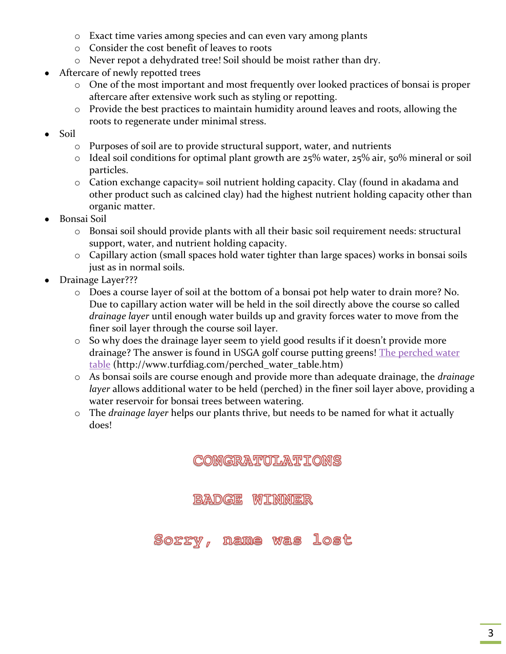- o Exact time varies among species and can even vary among plants
- o Consider the cost benefit of leaves to roots
- o Never repot a dehydrated tree! Soil should be moist rather than dry.
- Aftercare of newly repotted trees  $\bullet$ 
	- o One of the most important and most frequently over looked practices of bonsai is proper aftercare after extensive work such as styling or repotting.
	- o Provide the best practices to maintain humidity around leaves and roots, allowing the roots to regenerate under minimal stress.
- Soil
	- $\circ$  Purposes of soil are to provide structural support, water, and nutrients
	- $\circ$  Ideal soil conditions for optimal plant growth are 25% water, 25% air, 50% mineral or soil particles.
	- $\circ$  Cation exchange capacity= soil nutrient holding capacity. Clay (found in akadama and other product such as calcined clay) had the highest nutrient holding capacity other than organic matter.
- Bonsai Soil
	- o Bonsai soil should provide plants with all their basic soil requirement needs: structural support, water, and nutrient holding capacity.
	- o Capillary action (small spaces hold water tighter than large spaces) works in bonsai soils just as in normal soils.
- Drainage Layer???
	- o Does a course layer of soil at the bottom of a bonsai pot help water to drain more? No. Due to capillary action water will be held in the soil directly above the course so called *drainage layer* until enough water builds up and gravity forces water to move from the finer soil layer through the course soil layer.
	- o So why does the drainage layer seem to yield good results if it doesn't provide more drainage? The answer is found in USGA golf course putting greens! The perched water [table](http://www.turfdiag.com/perched_water_table.htm) (http://www.turfdiag.com/perched\_water\_table.htm)
	- o As bonsai soils are course enough and provide more than adequate drainage, the *drainage layer* allows additional water to be held (perched) in the finer soil layer above, providing a water reservoir for bonsai trees between watering.
	- o The *drainage layer* helps our plants thrive, but needs to be named for what it actually does!

CONGRATULATIONS

BADGE WIDNNER

Soeev, lost Was **mame**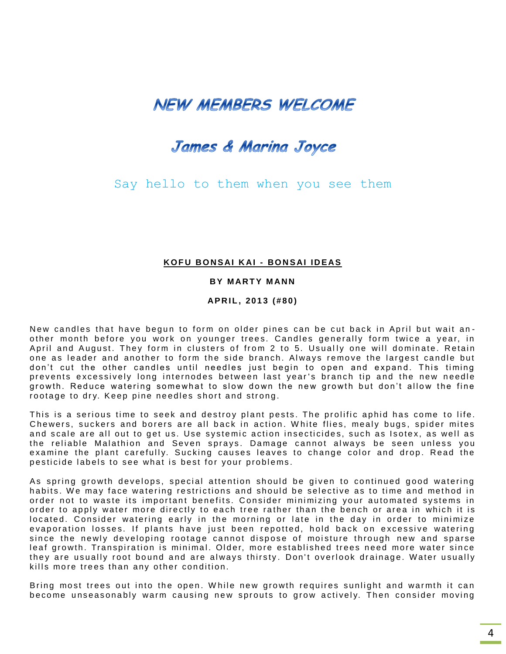# **NEW MEMBERS WELCOME**

## James & Marina Joyce

Say hello to them when you see them

#### **K O F U BO N S AI K AI - BO N S AI I D EAS**

#### **BY MARTY MANN**

#### **AP R I L , 2 0 1 3 ( # 8 0 )**

New candles that have begun to form on older pines can be cut back in April but wait another month before you work on younger trees. Candles generally form twice a year, in April and August. They form in clusters of from 2 to 5. Usually one will dominate. Retain one as leader and another to form the side branch. Always remove the largest candle but don't cut the other candles until needles just begin to open and expand. This timing prevents excessively long internodes between last year's branch tip and the new needle growth. Reduce watering somewhat to slow down the new growth but don't allow the fine rootage to dry. Keep pine needles short and strong.

This is a serious time to seek and destroy plant pests. The prolific aphid has come to life. Chewers, suckers and borers are all back in action. White flies, mealy bugs, spider mites and scale are all out to get us. Use systemic action insecticides, such as Isotex, as well as the reliable Malathion and Seven sprays. Damage cannot always be seen unless you examine the plant carefully. Sucking causes leaves to change color and drop. Read the pesticide labels to see what is best for your problems.

As spring growth develops, special attention should be given to continued good watering habits. We may face watering restrictions and should be selective as to time and method in order not to waste its important benefits. Consider minimizing your automated systems in order to apply water more directly to each tree rather than the bench or area in which it is located. Consider watering early in the morning or late in the day in order to minimize evaporation losses. If plants have just been repotted, hold back on excessive watering since the newly developing rootage cannot dispose of moisture through new and sparse leaf growth. Transpiration is minimal. Older, more established trees need more water since they are usually root bound and are always thirsty. Don't overlook drainage. Water usually kills more trees than any other condition.

Bring most trees out into the open. While new growth requires sunlight and warmth it can become unseasonably warm causing new sprouts to grow actively. Then consider moving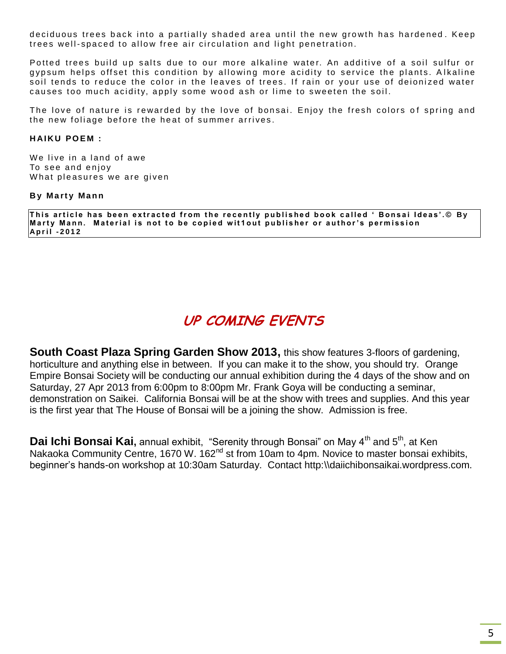deciduous trees back into a partially shaded area until the new growth has hardened. Keep trees well-spaced to allow free air circulation and light penetration.

Potted trees build up salts due to our more alkaline water. An additive of a soil sulfur or gypsum helps offset this condition by allowing more acidity to service the plants. Alkaline soil tends to reduce the color in the leaves of trees. If rain or your use of deionized water causes too much acidity, apply some wood ash or lime to sweeten the soil.

The love of nature is rewarded by the love of bonsai. Enjoy the fresh colors of spring and the new foliage before the heat of summer arrives.

#### **HAIKU POEM:**

We live in a land of awe To see and enjoy What pleasures we are given

#### **B y M a rt y Ma n n**

This article has been extracted from the recently published book called 'Bonsai Ideas'.© By Marty Mann. Material is not to be copied wit1out publisher or author's permission **A p r i l - 2 0 1 2**

# **UP COMING EVENTS**

**South Coast Plaza Spring Garden Show 2013,** this show features 3-floors of gardening, horticulture and anything else in between. If you can make it to the show, you should try. Orange Empire Bonsai Society will be conducting our annual exhibition during the 4 days of the show and on Saturday, 27 Apr 2013 from 6:00pm to 8:00pm Mr. Frank Goya will be conducting a seminar, demonstration on Saikei. California Bonsai will be at the show with trees and supplies. And this year is the first year that The House of Bonsai will be a joining the show. Admission is free.

**Dai Ichi Bonsai Kai**, annual exhibit, "Serenity through Bonsai" on May 4<sup>th</sup> and 5<sup>th</sup>, at Ken Nakaoka Community Centre, 1670 W. 162<sup>nd</sup> st from 10am to 4pm. Novice to master bonsai exhibits, beginner's hands-on workshop at 10:30am Saturday. Contact http:\\daiichibonsaikai.wordpress.com.